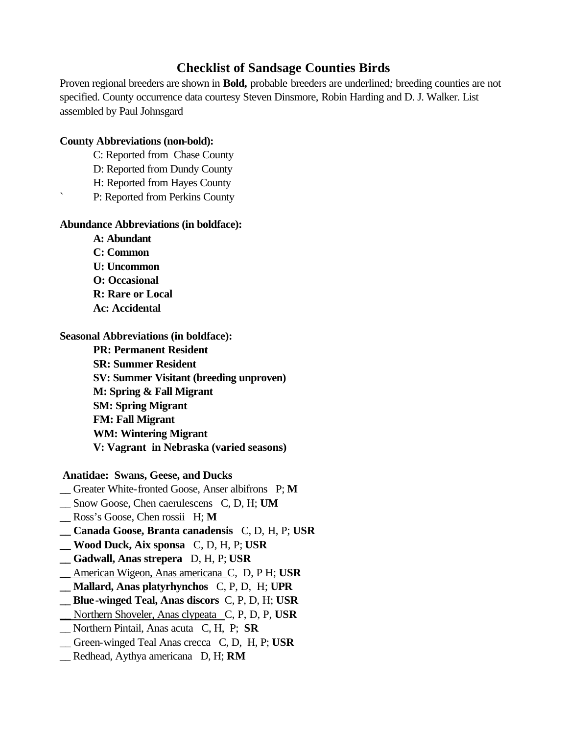## **Checklist of Sandsage Counties Birds**

Proven regional breeders are shown in **Bold,** probable breeders are underlined*;* breeding counties are not specified. County occurrence data courtesy Steven Dinsmore, Robin Harding and D. J. Walker. List assembled by Paul Johnsgard

## **County Abbreviations (non-bold):**

- C: Reported from Chase County
- D: Reported from Dundy County
- H: Reported from Hayes County
- P: Reported from Perkins County

## **Abundance Abbreviations (in boldface):**

**A: Abundant C: Common U: Uncommon O: Occasional R: Rare or Local Ac: Accidental**

**Seasonal Abbreviations (in boldface):**

**PR: Permanent Resident SR: Summer Resident SV: Summer Visitant (breeding unproven) M: Spring & Fall Migrant SM: Spring Migrant FM: Fall Migrant WM: Wintering Migrant V: Vagrant in Nebraska (varied seasons)**

 **Anatidae: Swans, Geese, and Ducks**

- \_\_ Greater White-fronted Goose, Anser albifrons P; **M**
- \_\_ Snow Goose, Chen caerulescens C, D, H; **UM**

\_\_ Ross's Goose, Chen rossii H; **M**

- **\_\_ Canada Goose, Branta canadensis** C, D, H, P; **USR**
- **\_\_ Wood Duck, Aix sponsa** C, D, H, P; **USR**
- **\_\_ Gadwall, Anas strepera** D, H, P; **USR**
- \_\_ American Wigeon, Anas americana C, D, P H; **USR**
- **\_\_ Mallard, Anas platyrhynchos** C, P, D, H; **UPR**
- **\_\_ Blue-winged Teal, Anas discors** C, P, D, H; **USR**
- \_\_ Northern Shoveler, Anas clypeata C, P, D, P, **USR**
- \_\_ Northern Pintail, Anas acuta C, H, P; **SR**
- \_\_ Green-winged Teal Anas crecca C, D, H, P; **USR**
- \_\_ Redhead, Aythya americana D, H; **RM**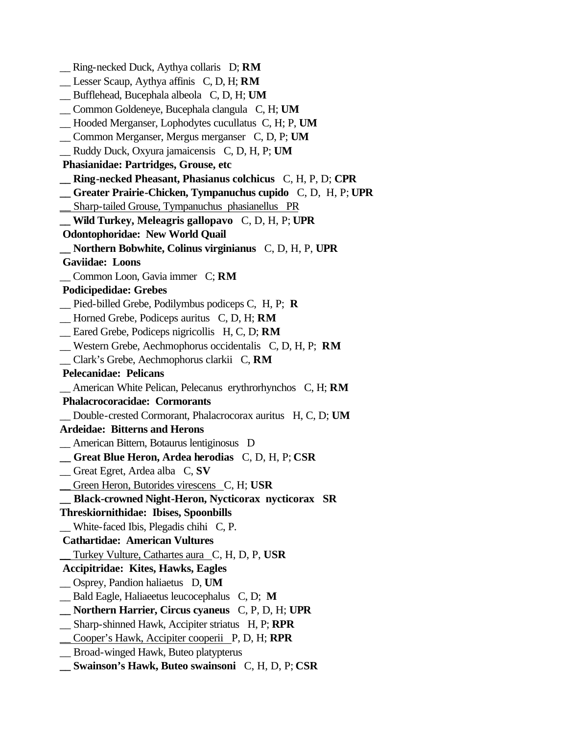\_\_ Ring-necked Duck, Aythya collaris D; **RM** \_\_ Lesser Scaup, Aythya affinis C, D, H; **RM** \_\_ Bufflehead, Bucephala albeola C, D, H; **UM** \_\_ Common Goldeneye, Bucephala clangula C, H; **UM** \_\_ Hooded Merganser, Lophodytes cucullatus C, H; P, **UM** \_\_ Common Merganser, Mergus merganser C, D, P; **UM** \_\_ Ruddy Duck, Oxyura jamaicensis C, D, H, P; **UM Phasianidae: Partridges, Grouse, etc \_\_ Ring-necked Pheasant, Phasianus colchicus** C, H, P, D; **CPR \_\_ Greater Prairie-Chicken, Tympanuchus cupido** C, D, H, P; **UPR** \_\_ Sharp-tailed Grouse, Tympanuchus phasianellus PR **\_\_ Wild Turkey, Meleagris gallopavo** C, D, H, P; **UPR Odontophoridae: New World Quail \_\_ Northern Bobwhite, Colinus virginianus** C, D, H, P, **UPR Gaviidae: Loons** \_\_ Common Loon, Gavia immer C; **RM Podicipedidae: Grebes** \_\_ Pied-billed Grebe, Podilymbus podiceps C, H, P; **R** \_\_ Horned Grebe, Podiceps auritus C, D, H; **RM** \_\_ Eared Grebe, Podiceps nigricollis H, C, D; **RM** \_\_ Western Grebe, Aechmophorus occidentalis C, D, H, P; **RM** \_\_ Clark's Grebe, Aechmophorus clarkii C, **RM Pelecanidae: Pelicans** \_\_ American White Pelican, Pelecanus erythrorhynchos C, H; **RM Phalacrocoracidae: Cormorants** \_\_ Double-crested Cormorant, Phalacrocorax auritus H, C, D; **UM Ardeidae: Bitterns and Herons** \_\_ American Bittern, Botaurus lentiginosus D **\_\_ Great Blue Heron, Ardea herodias** C, D, H, P; **CSR** \_\_ Great Egret, Ardea alba C, **SV** \_\_ Green Heron, Butorides virescens C, H; **USR \_\_ Black-crowned Night-Heron, Nycticorax nycticorax SR Threskiornithidae: Ibises, Spoonbills** \_\_ White-faced Ibis, Plegadis chihi C, P.  **Cathartidae: American Vultures** \_\_ Turkey Vulture, Cathartes aura C, H, D, P, **USR Accipitridae: Kites, Hawks, Eagles** \_\_ Osprey, Pandion haliaetus D, **UM** \_\_ Bald Eagle, Haliaeetus leucocephalus C, D; **M \_\_ Northern Harrier, Circus cyaneus** C, P, D, H; **UPR** \_\_ Sharp-shinned Hawk, Accipiter striatus H, P; **RPR** \_\_ Cooper's Hawk, Accipiter cooperii P, D, H; **RPR** \_\_ Broad-winged Hawk, Buteo platypterus **\_\_ Swainson's Hawk, Buteo swainsoni** C, H, D, P; **CSR**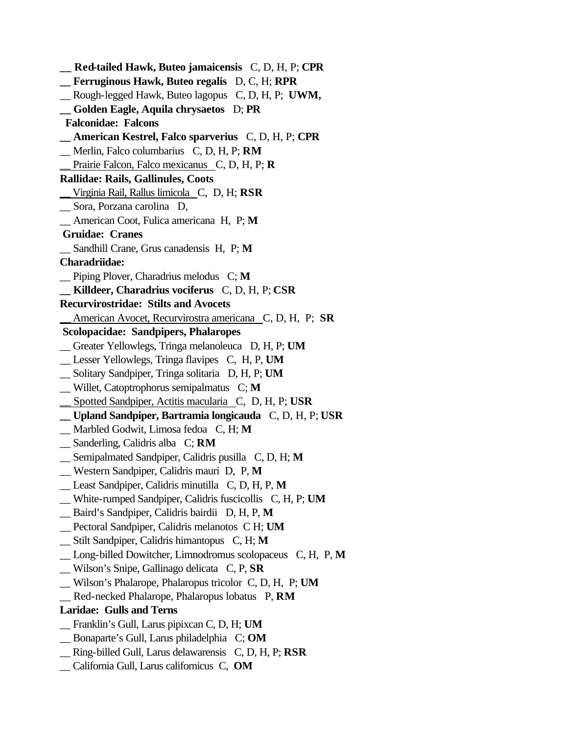**\_\_ Red-tailed Hawk, Buteo jamaicensis** C, D, H, P; **CPR \_\_ Ferruginous Hawk, Buteo regalis** D, C, H; **RPR** \_\_ Rough-legged Hawk, Buteo lagopus C, D, H, P; **UWM, \_\_ Golden Eagle, Aquila chrysaetos** D; **PR Falconidae: Falcons \_\_ American Kestrel, Falco sparverius** C, D, H, P; **CPR** \_\_ Merlin, Falco columbarius C, D, H, P; **RM** \_\_ Prairie Falcon, Falco mexicanus C, D, H, P; **R Rallidae: Rails, Gallinules, Coots** \_\_ Virginia Rail, Rallus limicola C, D, H; **RSR** \_\_ Sora, Porzana carolina D, \_\_ American Coot, Fulica americana H, P; **M Gruidae: Cranes** \_\_ Sandhill Crane, Grus canadensis H, P; **M Charadriidae:** \_\_ Piping Plover, Charadrius melodus C; **M \_\_ Killdeer, Charadrius vociferus** C, D, H, P; **CSR Recurvirostridae: Stilts and Avocets** \_\_ American Avocet, Recurvirostra americana C, D, H, P; **SR Scolopacidae: Sandpipers, Phalaropes** \_\_ Greater Yellowlegs, Tringa melanoleuca D, H, P; **UM** \_\_ Lesser Yellowlegs, Tringa flavipes C, H, P, **UM** \_\_ Solitary Sandpiper, Tringa solitaria D, H, P; **UM** \_\_ Willet, Catoptrophorus semipalmatus C; **M** \_\_ Spotted Sandpiper, Actitis macularia C, D, H, P; **USR \_\_ Upland Sandpiper, Bartramia longicauda** C, D, H, P; **USR** \_\_ Marbled Godwit, Limosa fedoa C, H; **M** \_\_ Sanderling, Calidris alba C; **RM** \_\_ Semipalmated Sandpiper, Calidris pusilla C, D, H; **M** \_\_ Western Sandpiper, Calidris mauri D, P, **M** \_\_ Least Sandpiper, Calidris minutilla C, D, H, P, **M** \_\_ White-rumped Sandpiper, Calidris fuscicollis C, H, P; **UM** \_\_ Baird's Sandpiper, Calidris bairdii D, H, P, **M** \_\_ Pectoral Sandpiper, Calidris melanotos C H; **UM** \_\_ Stilt Sandpiper, Calidris himantopus C, H; **M** \_\_ Long-billed Dowitcher, Limnodromus scolopaceus C, H, P, **M** \_\_ Wilson's Snipe, Gallinago delicata C, P, **SR** \_\_ Wilson's Phalarope, Phalaropus tricolor C, D, H, P; **UM** \_\_ Red-necked Phalarope, Phalaropus lobatus P, **RM Laridae: Gulls and Terns** \_\_ Franklin's Gull, Larus pipixcan C, D, H; **UM** \_\_ Bonaparte's Gull, Larus philadelphia C; **OM** \_\_ Ring-billed Gull, Larus delawarensis C, D, H, P; **RSR** \_\_ California Gull, Larus californicus C, **OM**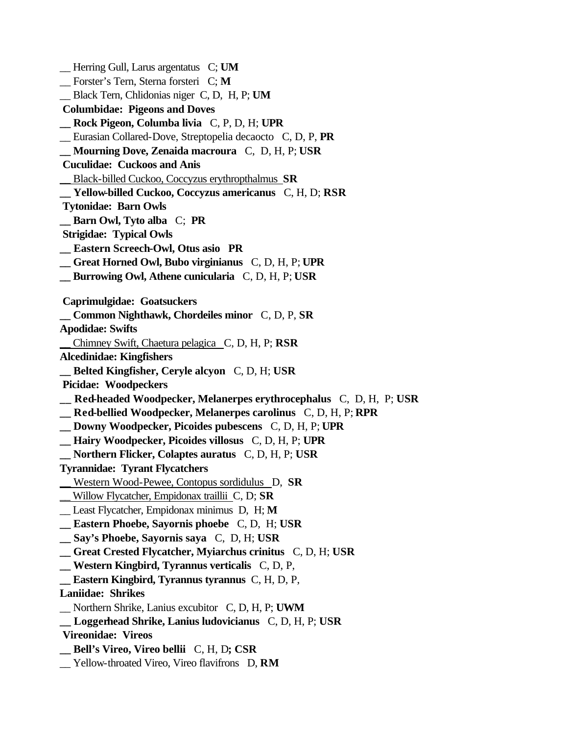\_\_ Herring Gull, Larus argentatus C; **UM** \_\_ Forster's Tern, Sterna forsteri C; **M** \_\_ Black Tern, Chlidonias niger C, D, H, P; **UM Columbidae: Pigeons and Doves \_\_ Rock Pigeon, Columba livia** C, P, D, H; **UPR** \_\_ Eurasian Collared-Dove, Streptopelia decaocto C, D, P, **PR \_\_ Mourning Dove, Zenaida macroura** C, D, H, P; **USR Cuculidae: Cuckoos and Anis** \_\_ Black-billed Cuckoo, Coccyzus erythropthalmus **SR \_\_ Yellow-billed Cuckoo, Coccyzus americanus** C, H, D; **RSR Tytonidae: Barn Owls \_\_ Barn Owl, Tyto alba** C; **PR Strigidae: Typical Owls \_\_ Eastern Screech-Owl, Otus asio PR \_\_ Great Horned Owl, Bubo virginianus** C, D, H, P; **UPR \_\_ Burrowing Owl, Athene cunicularia** C, D, H, P; **USR Caprimulgidae: Goatsuckers \_\_ Common Nighthawk, Chordeiles minor** C, D, P, **SR Apodidae: Swifts** \_\_ Chimney Swift, Chaetura pelagica C, D, H, P; **RSR Alcedinidae: Kingfishers \_\_ Belted Kingfisher, Ceryle alcyon** C, D, H; **USR Picidae: Woodpeckers \_\_ Red-headed Woodpecker, Melanerpes erythrocephalus** C, D, H, P; **USR \_\_ Red-bellied Woodpecker, Melanerpes carolinus** C, D, H, P; **RPR \_\_ Downy Woodpecker, Picoides pubescens** C, D, H, P; **UPR \_\_ Hairy Woodpecker, Picoides villosus** C, D, H, P; **UPR \_\_ Northern Flicker, Colaptes auratus** C, D, H, P; **USR Tyrannidae: Tyrant Flycatchers** \_\_ Western Wood-Pewee, Contopus sordidulus D, **SR** \_\_ Willow Flycatcher, Empidonax traillii C, D; **SR** \_\_ Least Flycatcher, Empidonax minimus D, H; **M \_\_ Eastern Phoebe, Sayornis phoebe** C, D, H; **USR \_\_ Say's Phoebe, Sayornis saya** C, D, H; **USR \_\_ Great Crested Flycatcher, Myiarchus crinitus** C, D, H; **USR \_\_ Western Kingbird, Tyrannus verticalis** C, D, P, **\_\_ Eastern Kingbird, Tyrannus tyrannus** C, H, D, P, **Laniidae: Shrikes** \_\_ Northern Shrike, Lanius excubitor C, D, H, P; **UWM \_\_ Loggerhead Shrike, Lanius ludovicianus** C, D, H, P; **USR Vireonidae: Vireos \_\_ Bell's Vireo, Vireo bellii** C, H, D**; CSR** \_\_ Yellow-throated Vireo, Vireo flavifrons D, **RM**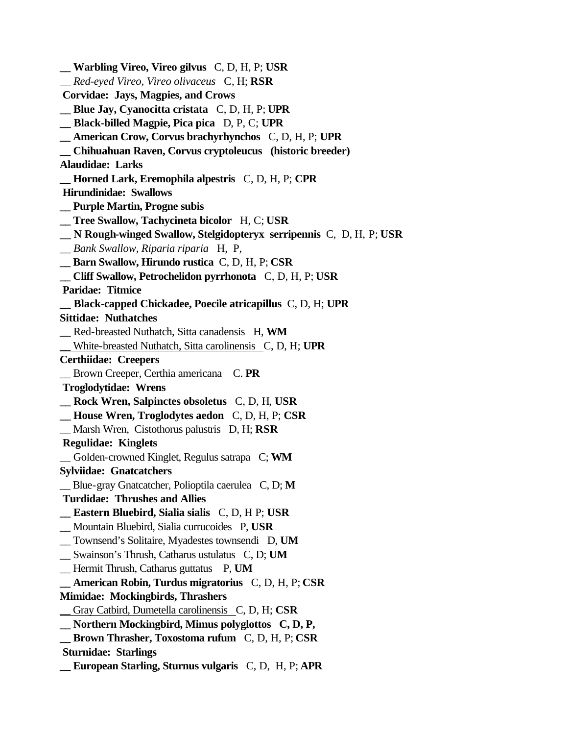**\_\_ Warbling Vireo, Vireo gilvus** C, D, H, P; **USR** *\_\_ Red-eyed Vireo, Vireo olivaceus* C, H; **RSR Corvidae: Jays, Magpies, and Crows \_\_ Blue Jay, Cyanocitta cristata** C, D, H, P; **UPR \_\_ Black-billed Magpie, Pica pica** D, P, C; **UPR \_\_ American Crow, Corvus brachyrhynchos** C, D, H, P; **UPR \_\_ Chihuahuan Raven, Corvus cryptoleucus (historic breeder) Alaudidae: Larks \_\_ Horned Lark, Eremophila alpestris** C, D, H, P; **CPR Hirundinidae: Swallows \_\_ Purple Martin, Progne subis \_\_ Tree Swallow, Tachycineta bicolor** H, C; **USR \_\_ N Rough-winged Swallow, Stelgidopteryx serripennis** C, D, H, P; **USR** *\_\_ Bank Swallow, Riparia riparia* H, P*,*  **\_\_ Barn Swallow, Hirundo rustica** C, D, H, P; **CSR \_\_ Cliff Swallow, Petrochelidon pyrrhonota** C, D, H, P; **USR Paridae: Titmice \_\_ Black-capped Chickadee, Poecile atricapillus** C, D, H; **UPR Sittidae: Nuthatches** \_\_ Red-breasted Nuthatch, Sitta canadensis H, **WM** \_\_ White-breasted Nuthatch, Sitta carolinensis C, D, H; **UPR Certhiidae: Creepers** \_\_ Brown Creeper, Certhia americana C. **PR Troglodytidae: Wrens \_\_ Rock Wren, Salpinctes obsoletus** C, D, H, **USR \_\_ House Wren, Troglodytes aedon** C, D, H, P; **CSR** \_\_ Marsh Wren, Cistothorus palustris D, H; **RSR Regulidae: Kinglets** \_\_ Golden-crowned Kinglet, Regulus satrapa C; **WM Sylviidae: Gnatcatchers** \_\_ Blue-gray Gnatcatcher, Polioptila caerulea C, D; **M Turdidae: Thrushes and Allies \_\_ Eastern Bluebird, Sialia sialis** C, D, H P; **USR** \_\_ Mountain Bluebird, Sialia currucoides P, **USR** \_\_ Townsend's Solitaire, Myadestes townsendi D, **UM** \_\_ Swainson's Thrush, Catharus ustulatus C, D; **UM** \_\_ Hermit Thrush, Catharus guttatus P, **UM \_\_ American Robin, Turdus migratorius** C, D, H, P; **CSR Mimidae: Mockingbirds, Thrashers** Gray Catbird, Dumetella carolinensis C, D, H; CSR **\_\_ Northern Mockingbird, Mimus polyglottos C, D, P, \_\_ Brown Thrasher, Toxostoma rufum** C, D, H, P; **CSR Sturnidae: Starlings \_\_ European Starling, Sturnus vulgaris** C, D, H, P; **APR**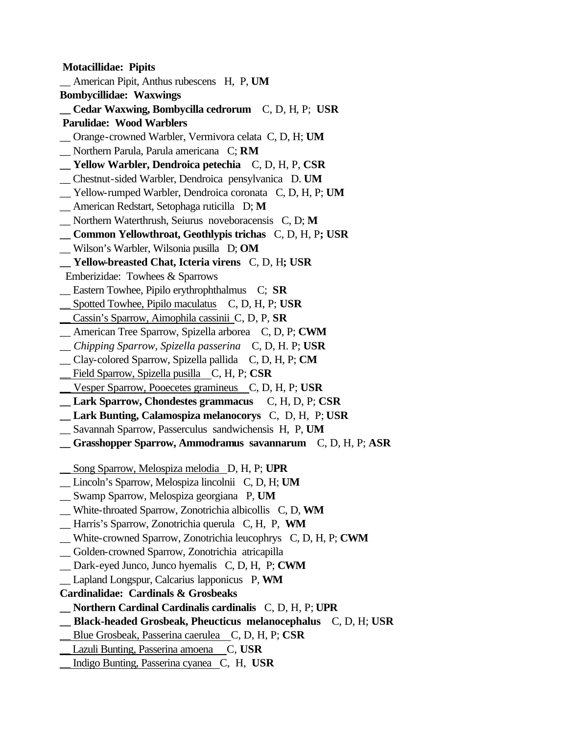**Motacillidae: Pipits** \_\_ American Pipit, Anthus rubescens H, P, **UM Bombycillidae: Waxwings \_\_ Cedar Waxwing, Bombycilla cedrorum** C, D, H, P; **USR Parulidae: Wood Warblers** \_\_ Orange-crowned Warbler, Vermivora celata C, D, H; **UM** \_\_ Northern Parula, Parula americana C; **RM \_\_ Yellow Warbler, Dendroica petechia** C, D, H, P, **CSR** \_\_ Chestnut-sided Warbler, Dendroica pensylvanica D. **UM** \_\_ Yellow-rumped Warbler, Dendroica coronata C, D, H, P; **UM** \_\_ American Redstart, Setophaga ruticilla D; **M** \_\_ Northern Waterthrush, Seiurus noveboracensis C, D; **M \_\_ Common Yellowthroat, Geothlypis trichas** C, D, H, P**; USR** \_\_ Wilson's Warbler, Wilsonia pusilla D; **OM \_\_ Yellow-breasted Chat, Icteria virens** C, D, H**; USR** Emberizidae: Towhees & Sparrows \_\_ Eastern Towhee, Pipilo erythrophthalmus C; **SR** \_\_ Spotted Towhee, Pipilo maculatus C, D, H, P; **USR** \_\_ Cassin's Sparrow, Aimophila cassinii C, D, P, **SR** \_\_ American Tree Sparrow, Spizella arborea C, D, P; **CWM** *\_\_ Chipping Sparrow, Spizella passerina* C, D, H. P; **USR** \_\_ Clay-colored Sparrow, Spizella pallida C, D, H, P; **CM** \_\_ Field Sparrow, Spizella pusilla C, H, P; **CSR** \_\_ Vesper Sparrow, Pooecetes gramineus C, D, H, P; **USR \_\_ Lark Sparrow, Chondestes grammacus** C, H, D, P; **CSR \_\_ Lark Bunting, Calamospiza melanocorys** C, D, H, P; **USR** \_\_ Savannah Sparrow, Passerculus sandwichensis H, P, **UM \_\_ Grasshopper Sparrow, Ammodramus savannarum** C, D, H, P; **ASR** \_\_ Song Sparrow, Melospiza melodia D, H, P; **UPR** \_\_ Lincoln's Sparrow, Melospiza lincolnii C, D, H; **UM** \_\_ Swamp Sparrow, Melospiza georgiana P, **UM** \_\_ White-throated Sparrow, Zonotrichia albicollis C, D, **WM** \_\_ Harris's Sparrow, Zonotrichia querula C, H, P, **WM** \_\_ White-crowned Sparrow, Zonotrichia leucophrys C, D, H, P; **CWM** \_\_ Golden-crowned Sparrow, Zonotrichia atricapilla \_\_ Dark-eyed Junco, Junco hyemalis C, D, H, P; **CWM** \_\_ Lapland Longspur, Calcarius lapponicus P, **WM Cardinalidae: Cardinals & Grosbeaks \_\_ Northern Cardinal Cardinalis cardinalis** C, D, H, P; **UPR \_\_ Black-headed Grosbeak, Pheucticus melanocephalus** C, D, H; **USR** \_\_ Blue Grosbeak, Passerina caerulea C, D, H, P; **CSR** \_\_ Lazuli Bunting, Passerina amoena C, **USR** \_\_ Indigo Bunting, Passerina cyanea C, H, **USR**